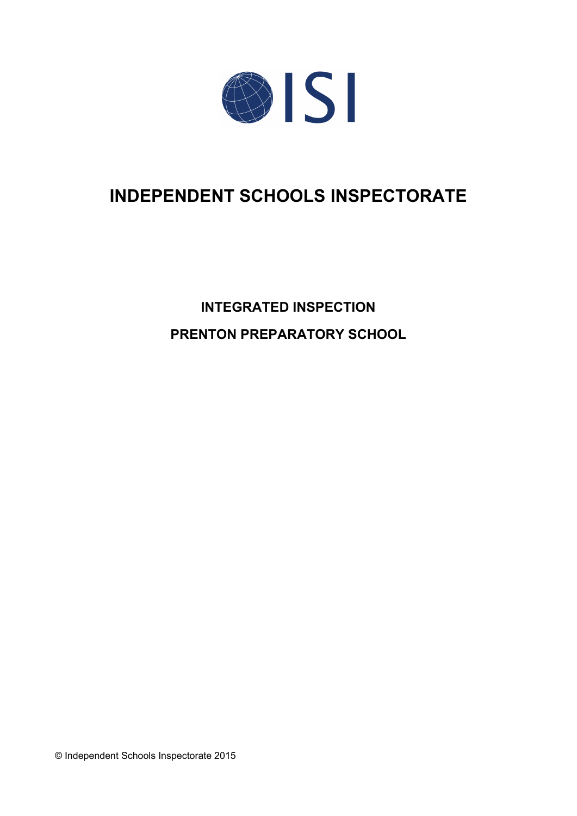

# **INDEPENDENT SCHOOLS INSPECTORATE**

**INTEGRATED INSPECTION PRENTON PREPARATORY SCHOOL**

© Independent Schools Inspectorate 2015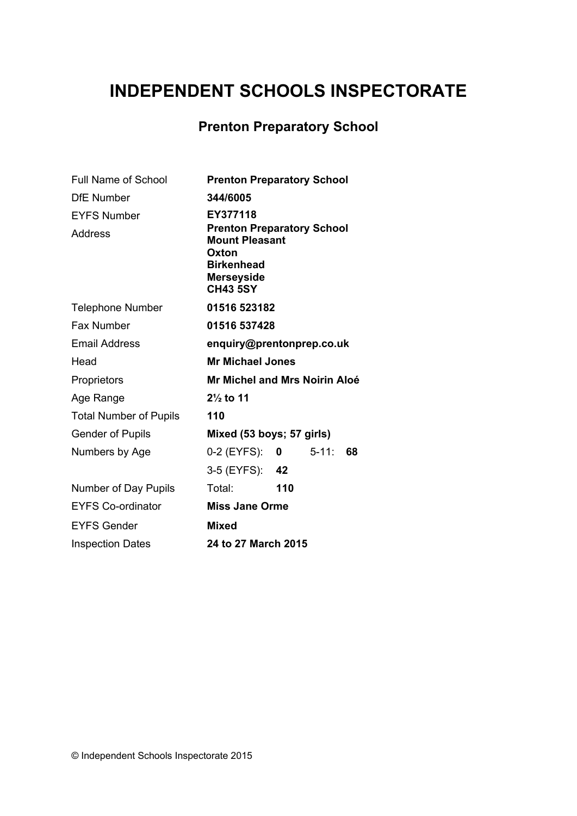# **INDEPENDENT SCHOOLS INSPECTORATE**

# **Prenton Preparatory School**

| <b>Full Name of School</b>    | <b>Prenton Preparatory School</b>                                                                                                |     |            |    |
|-------------------------------|----------------------------------------------------------------------------------------------------------------------------------|-----|------------|----|
| <b>DfE Number</b>             | 344/6005                                                                                                                         |     |            |    |
| <b>EYFS Number</b>            | EY377118                                                                                                                         |     |            |    |
| Address                       | <b>Prenton Preparatory School</b><br><b>Mount Pleasant</b><br>Oxton<br><b>Birkenhead</b><br><b>Merseyside</b><br><b>CH43 5SY</b> |     |            |    |
| <b>Telephone Number</b>       | 01516 523182                                                                                                                     |     |            |    |
| <b>Fax Number</b>             | 01516 537428                                                                                                                     |     |            |    |
| <b>Email Address</b>          | enquiry@prentonprep.co.uk                                                                                                        |     |            |    |
| Head                          | <b>Mr Michael Jones</b>                                                                                                          |     |            |    |
| Proprietors                   | <b>Mr Michel and Mrs Noirin Aloé</b>                                                                                             |     |            |    |
| Age Range                     | $2\frac{1}{2}$ to 11                                                                                                             |     |            |    |
| <b>Total Number of Pupils</b> | 110                                                                                                                              |     |            |    |
| <b>Gender of Pupils</b>       | Mixed (53 boys; 57 girls)                                                                                                        |     |            |    |
| Numbers by Age                | $0-2$ (EYFS): 0                                                                                                                  |     | $5 - 11$ : | 68 |
|                               | 3-5 (EYFS): 42                                                                                                                   |     |            |    |
| Number of Day Pupils          | Total:                                                                                                                           | 110 |            |    |
| <b>EYFS Co-ordinator</b>      | <b>Miss Jane Orme</b>                                                                                                            |     |            |    |
| <b>EYFS Gender</b>            | <b>Mixed</b>                                                                                                                     |     |            |    |
| <b>Inspection Dates</b>       | 24 to 27 March 2015                                                                                                              |     |            |    |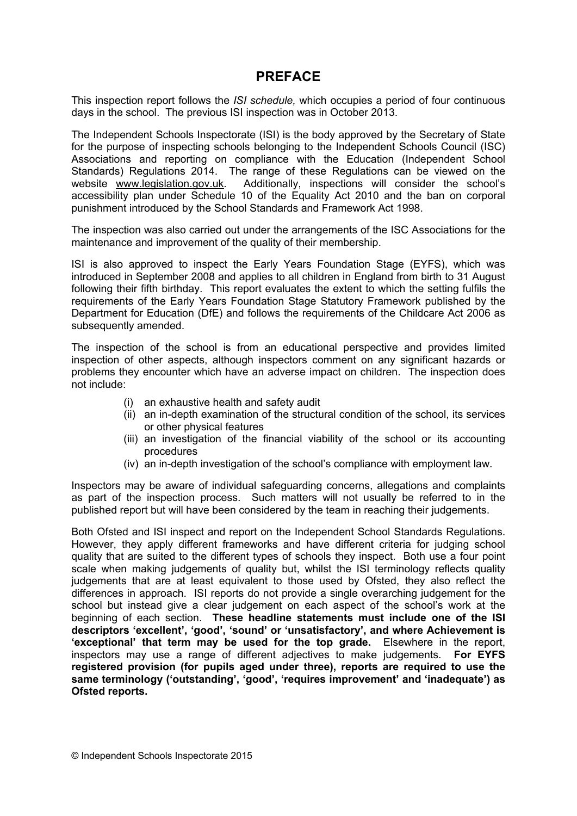# **PREFACE**

This inspection report follows the *ISI schedule,* which occupies a period of four continuous days in the school. The previous ISI inspection was in October 2013.

The Independent Schools Inspectorate (ISI) is the body approved by the Secretary of State for the purpose of inspecting schools belonging to the Independent Schools Council (ISC) Associations and reporting on compliance with the Education (Independent School Standards) Regulations 2014. The range of these Regulations can be viewed on the website [www.legislation.gov.uk.](http://www.legislation.gov.uk) Additionally, inspections will consider the school's accessibility plan under Schedule 10 of the Equality Act 2010 and the ban on corporal punishment introduced by the School Standards and Framework Act 1998.

The inspection was also carried out under the arrangements of the ISC Associations for the maintenance and improvement of the quality of their membership.

ISI is also approved to inspect the Early Years Foundation Stage (EYFS), which was introduced in September 2008 and applies to all children in England from birth to 31 August following their fifth birthday. This report evaluates the extent to which the setting fulfils the requirements of the Early Years Foundation Stage Statutory Framework published by the Department for Education (DfE) and follows the requirements of the Childcare Act 2006 as subsequently amended.

The inspection of the school is from an educational perspective and provides limited inspection of other aspects, although inspectors comment on any significant hazards or problems they encounter which have an adverse impact on children. The inspection does not include:

- (i) an exhaustive health and safety audit
- (ii) an in-depth examination of the structural condition of the school, its services or other physical features
- (iii) an investigation of the financial viability of the school or its accounting procedures
- (iv) an in-depth investigation of the school's compliance with employment law.

Inspectors may be aware of individual safeguarding concerns, allegations and complaints as part of the inspection process. Such matters will not usually be referred to in the published report but will have been considered by the team in reaching their judgements.

Both Ofsted and ISI inspect and report on the Independent School Standards Regulations. However, they apply different frameworks and have different criteria for judging school quality that are suited to the different types of schools they inspect. Both use a four point scale when making judgements of quality but, whilst the ISI terminology reflects quality judgements that are at least equivalent to those used by Ofsted, they also reflect the differences in approach. ISI reports do not provide a single overarching judgement for the school but instead give a clear judgement on each aspect of the school's work at the beginning of each section. **These headline statements must include one of the ISI descriptors 'excellent', 'good', 'sound' or 'unsatisfactory', and where Achievement is 'exceptional' that term may be used for the top grade.** Elsewhere in the report, inspectors may use a range of different adjectives to make judgements. **For EYFS registered provision (for pupils aged under three), reports are required to use the same terminology ('outstanding', 'good', 'requires improvement' and 'inadequate') as Ofsted reports.**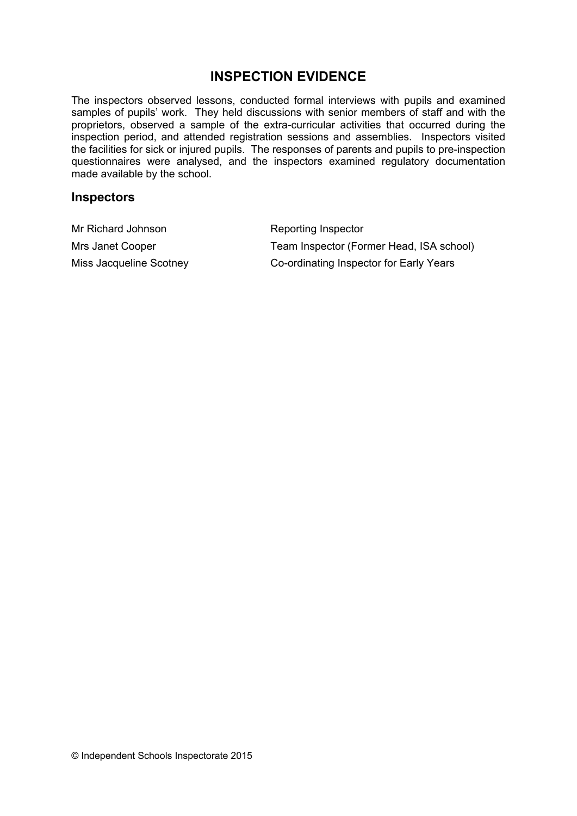# **INSPECTION EVIDENCE**

The inspectors observed lessons, conducted formal interviews with pupils and examined samples of pupils' work. They held discussions with senior members of staff and with the proprietors, observed a sample of the extra-curricular activities that occurred during the inspection period, and attended registration sessions and assemblies. Inspectors visited the facilities for sick or injured pupils. The responses of parents and pupils to pre-inspection questionnaires were analysed, and the inspectors examined regulatory documentation made available by the school.

#### **Inspectors**

| Mr Richard Johnson      | Reporting Inspector                      |
|-------------------------|------------------------------------------|
| Mrs Janet Cooper        | Team Inspector (Former Head, ISA school) |
| Miss Jacqueline Scotney | Co-ordinating Inspector for Early Years  |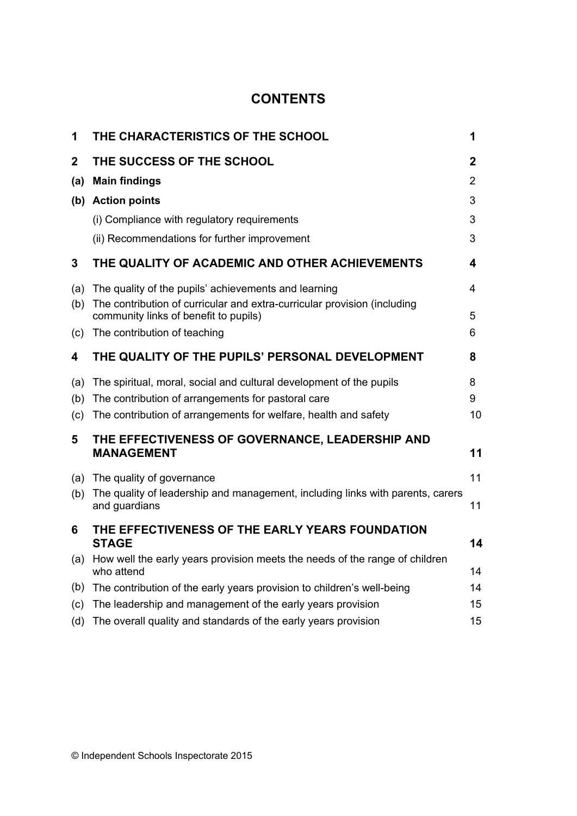# **CONTENTS**

| 1            | THE CHARACTERISTICS OF THE SCHOOL                                                                                 | 1              |
|--------------|-------------------------------------------------------------------------------------------------------------------|----------------|
| $\mathbf{2}$ | THE SUCCESS OF THE SCHOOL                                                                                         | $\mathbf{2}$   |
| (a)          | <b>Main findings</b>                                                                                              | $\overline{2}$ |
| (b)          | <b>Action points</b>                                                                                              | 3              |
|              | (i) Compliance with regulatory requirements                                                                       | 3              |
|              | (ii) Recommendations for further improvement                                                                      | 3              |
| 3            | THE QUALITY OF ACADEMIC AND OTHER ACHIEVEMENTS                                                                    | 4              |
| (a)          | The quality of the pupils' achievements and learning                                                              | 4              |
| (b)          | The contribution of curricular and extra-curricular provision (including<br>community links of benefit to pupils) | 5              |
| (c)          | The contribution of teaching                                                                                      | 6              |
| 4            | THE QUALITY OF THE PUPILS' PERSONAL DEVELOPMENT                                                                   | 8              |
| (a)          | The spiritual, moral, social and cultural development of the pupils                                               | 8              |
| (b)          | The contribution of arrangements for pastoral care                                                                | 9              |
| (c)          | The contribution of arrangements for welfare, health and safety                                                   | 10             |
| 5            | THE EFFECTIVENESS OF GOVERNANCE, LEADERSHIP AND<br><b>MANAGEMENT</b>                                              | 11             |
| (a)          | The quality of governance                                                                                         | 11             |
| (b)          | The quality of leadership and management, including links with parents, carers<br>and guardians                   | 11             |
| 6            | THE EFFECTIVENESS OF THE EARLY YEARS FOUNDATION<br><b>STAGE</b>                                                   | 14             |
| (a)          | How well the early years provision meets the needs of the range of children<br>who attend                         | 14             |
| (b)          | The contribution of the early years provision to children's well-being                                            | 14             |
| (c)          | The leadership and management of the early years provision                                                        | 15             |
| (d)          | The overall quality and standards of the early years provision                                                    | 15             |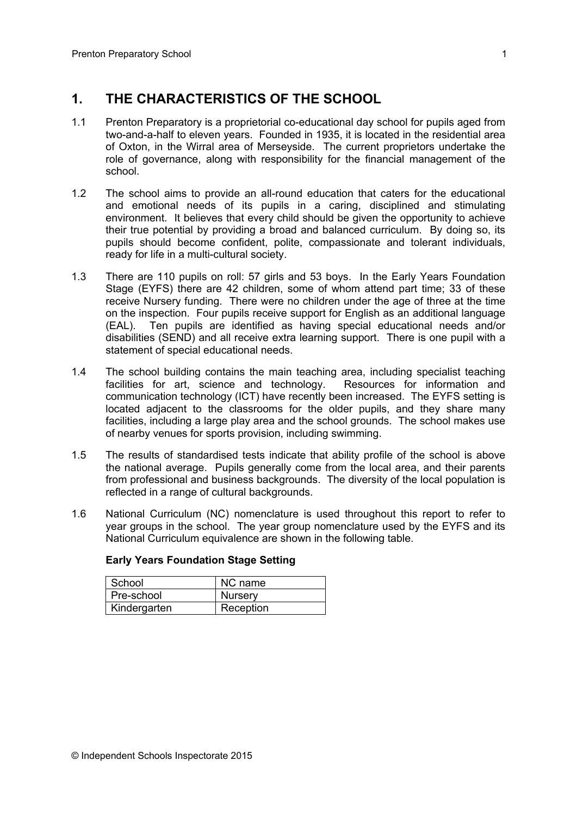# **1. THE CHARACTERISTICS OF THE SCHOOL**

- 1.1 Prenton Preparatory is a proprietorial co-educational day school for pupils aged from two-and-a-half to eleven years. Founded in 1935, it is located in the residential area of Oxton, in the Wirral area of Merseyside. The current proprietors undertake the role of governance, along with responsibility for the financial management of the school.
- 1.2 The school aims to provide an all-round education that caters for the educational and emotional needs of its pupils in a caring, disciplined and stimulating environment. It believes that every child should be given the opportunity to achieve their true potential by providing a broad and balanced curriculum. By doing so, its pupils should become confident, polite, compassionate and tolerant individuals, ready for life in a multi-cultural society.
- 1.3 There are 110 pupils on roll: 57 girls and 53 boys. In the Early Years Foundation Stage (EYFS) there are 42 children, some of whom attend part time; 33 of these receive Nursery funding. There were no children under the age of three at the time on the inspection. Four pupils receive support for English as an additional language (EAL). Ten pupils are identified as having special educational needs and/or disabilities (SEND) and all receive extra learning support. There is one pupil with a statement of special educational needs.
- 1.4 The school building contains the main teaching area, including specialist teaching facilities for art, science and technology. Resources for information and communication technology (ICT) have recently been increased. The EYFS setting is located adjacent to the classrooms for the older pupils, and they share many facilities, including a large play area and the school grounds. The school makes use of nearby venues for sports provision, including swimming.
- 1.5 The results of standardised tests indicate that ability profile of the school is above the national average. Pupils generally come from the local area, and their parents from professional and business backgrounds. The diversity of the local population is reflected in a range of cultural backgrounds.
- 1.6 National Curriculum (NC) nomenclature is used throughout this report to refer to year groups in the school. The year group nomenclature used by the EYFS and its National Curriculum equivalence are shown in the following table.

| School       | NC name        |
|--------------|----------------|
| Pre-school   | <b>Nursery</b> |
| Kindergarten | Reception      |

#### **Early Years Foundation Stage Setting**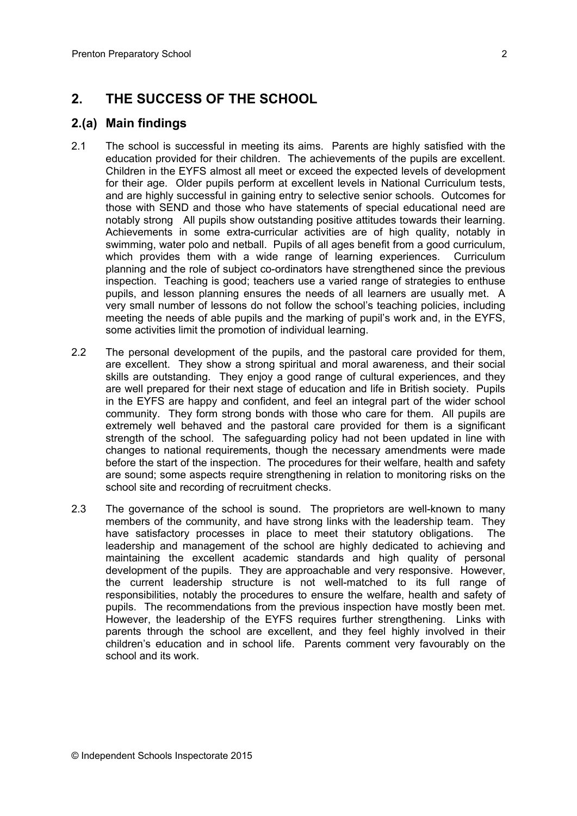# **2. THE SUCCESS OF THE SCHOOL**

#### **2.(a) Main findings**

- 2.1 The school is successful in meeting its aims. Parents are highly satisfied with the education provided for their children. The achievements of the pupils are excellent. Children in the EYFS almost all meet or exceed the expected levels of development for their age. Older pupils perform at excellent levels in National Curriculum tests, and are highly successful in gaining entry to selective senior schools. Outcomes for those with SEND and those who have statements of special educational need are notably strong All pupils show outstanding positive attitudes towards their learning. Achievements in some extra-curricular activities are of high quality, notably in swimming, water polo and netball. Pupils of all ages benefit from a good curriculum, which provides them with a wide range of learning experiences. Curriculum planning and the role of subject co-ordinators have strengthened since the previous inspection. Teaching is good; teachers use a varied range of strategies to enthuse pupils, and lesson planning ensures the needs of all learners are usually met. A very small number of lessons do not follow the school's teaching policies, including meeting the needs of able pupils and the marking of pupil's work and, in the EYFS, some activities limit the promotion of individual learning.
- 2.2 The personal development of the pupils, and the pastoral care provided for them, are excellent. They show a strong spiritual and moral awareness, and their social skills are outstanding. They enjoy a good range of cultural experiences, and they are well prepared for their next stage of education and life in British society. Pupils in the EYFS are happy and confident, and feel an integral part of the wider school community. They form strong bonds with those who care for them. All pupils are extremely well behaved and the pastoral care provided for them is a significant strength of the school. The safeguarding policy had not been updated in line with changes to national requirements, though the necessary amendments were made before the start of the inspection. The procedures for their welfare, health and safety are sound; some aspects require strengthening in relation to monitoring risks on the school site and recording of recruitment checks.
- 2.3 The governance of the school is sound. The proprietors are well-known to many members of the community, and have strong links with the leadership team. They have satisfactory processes in place to meet their statutory obligations. The leadership and management of the school are highly dedicated to achieving and maintaining the excellent academic standards and high quality of personal development of the pupils. They are approachable and very responsive. However, the current leadership structure is not well-matched to its full range of responsibilities, notably the procedures to ensure the welfare, health and safety of pupils. The recommendations from the previous inspection have mostly been met. However, the leadership of the EYFS requires further strengthening. Links with parents through the school are excellent, and they feel highly involved in their children's education and in school life. Parents comment very favourably on the school and its work.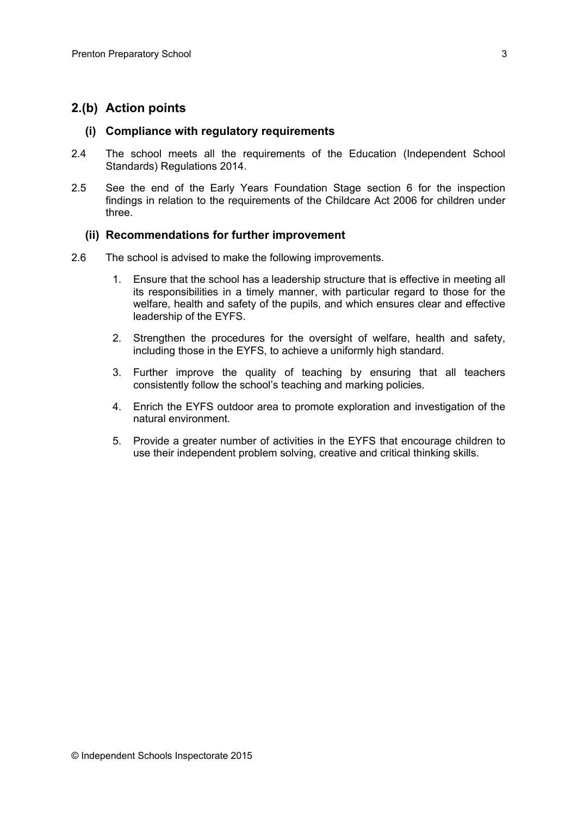#### **2.(b) Action points**

#### **(i) Compliance with regulatory requirements**

- 2.4 The school meets all the requirements of the Education (Independent School Standards) Regulations 2014.
- 2.5 See the end of the Early Years Foundation Stage section 6 for the inspection findings in relation to the requirements of the Childcare Act 2006 for children under three.

#### **(ii) Recommendations for further improvement**

- 2.6 The school is advised to make the following improvements.
	- 1. Ensure that the school has a leadership structure that is effective in meeting all its responsibilities in a timely manner, with particular regard to those for the welfare, health and safety of the pupils, and which ensures clear and effective leadership of the EYFS.
	- 2. Strengthen the procedures for the oversight of welfare, health and safety, including those in the EYFS, to achieve a uniformly high standard.
	- 3. Further improve the quality of teaching by ensuring that all teachers consistently follow the school's teaching and marking policies.
	- 4. Enrich the EYFS outdoor area to promote exploration and investigation of the natural environment.
	- 5. Provide a greater number of activities in the EYFS that encourage children to use their independent problem solving, creative and critical thinking skills.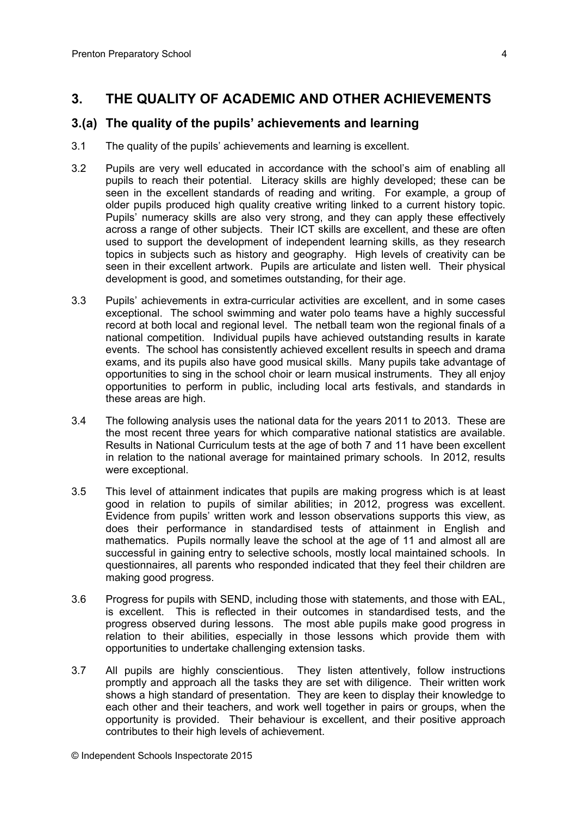## **3. THE QUALITY OF ACADEMIC AND OTHER ACHIEVEMENTS**

#### **3.(a) The quality of the pupils' achievements and learning**

- 3.1 The quality of the pupils' achievements and learning is excellent.
- 3.2 Pupils are very well educated in accordance with the school's aim of enabling all pupils to reach their potential. Literacy skills are highly developed; these can be seen in the excellent standards of reading and writing. For example, a group of older pupils produced high quality creative writing linked to a current history topic. Pupils' numeracy skills are also very strong, and they can apply these effectively across a range of other subjects. Their ICT skills are excellent, and these are often used to support the development of independent learning skills, as they research topics in subjects such as history and geography. High levels of creativity can be seen in their excellent artwork. Pupils are articulate and listen well. Their physical development is good, and sometimes outstanding, for their age.
- 3.3 Pupils' achievements in extra-curricular activities are excellent, and in some cases exceptional. The school swimming and water polo teams have a highly successful record at both local and regional level. The netball team won the regional finals of a national competition. Individual pupils have achieved outstanding results in karate events. The school has consistently achieved excellent results in speech and drama exams, and its pupils also have good musical skills. Many pupils take advantage of opportunities to sing in the school choir or learn musical instruments. They all enjoy opportunities to perform in public, including local arts festivals, and standards in these areas are high.
- 3.4 The following analysis uses the national data for the years 2011 to 2013. These are the most recent three years for which comparative national statistics are available. Results in National Curriculum tests at the age of both 7 and 11 have been excellent in relation to the national average for maintained primary schools. In 2012, results were exceptional.
- 3.5 This level of attainment indicates that pupils are making progress which is at least good in relation to pupils of similar abilities; in 2012, progress was excellent. Evidence from pupils' written work and lesson observations supports this view, as does their performance in standardised tests of attainment in English and mathematics. Pupils normally leave the school at the age of 11 and almost all are successful in gaining entry to selective schools, mostly local maintained schools. In questionnaires, all parents who responded indicated that they feel their children are making good progress.
- 3.6 Progress for pupils with SEND, including those with statements, and those with EAL, is excellent. This is reflected in their outcomes in standardised tests, and the progress observed during lessons. The most able pupils make good progress in relation to their abilities, especially in those lessons which provide them with opportunities to undertake challenging extension tasks.
- 3.7 All pupils are highly conscientious. They listen attentively, follow instructions promptly and approach all the tasks they are set with diligence. Their written work shows a high standard of presentation. They are keen to display their knowledge to each other and their teachers, and work well together in pairs or groups, when the opportunity is provided. Their behaviour is excellent, and their positive approach contributes to their high levels of achievement.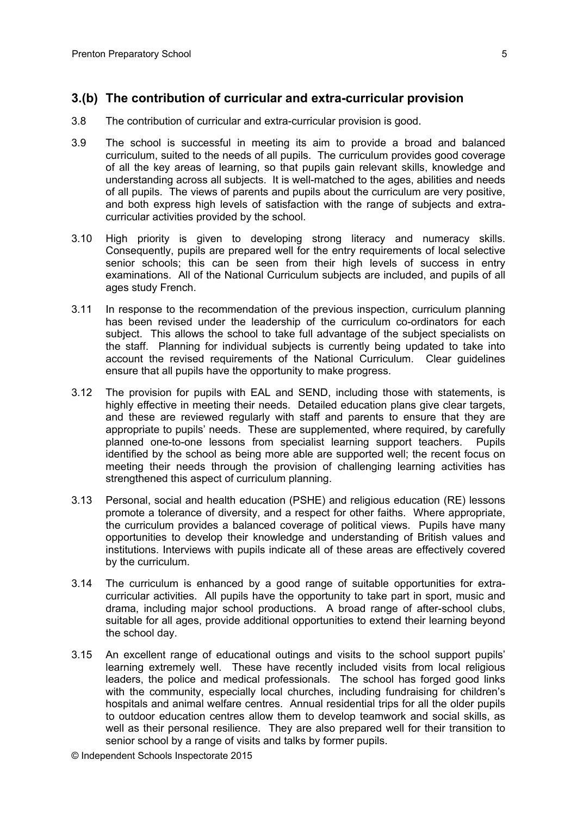#### **3.(b) The contribution of curricular and extra-curricular provision**

- 3.8 The contribution of curricular and extra-curricular provision is good.
- 3.9 The school is successful in meeting its aim to provide a broad and balanced curriculum, suited to the needs of all pupils. The curriculum provides good coverage of all the key areas of learning, so that pupils gain relevant skills, knowledge and understanding across all subjects. It is well-matched to the ages, abilities and needs of all pupils. The views of parents and pupils about the curriculum are very positive, and both express high levels of satisfaction with the range of subjects and extracurricular activities provided by the school.
- 3.10 High priority is given to developing strong literacy and numeracy skills. Consequently, pupils are prepared well for the entry requirements of local selective senior schools; this can be seen from their high levels of success in entry examinations. All of the National Curriculum subjects are included, and pupils of all ages study French.
- 3.11 In response to the recommendation of the previous inspection, curriculum planning has been revised under the leadership of the curriculum co-ordinators for each subject. This allows the school to take full advantage of the subject specialists on the staff. Planning for individual subjects is currently being updated to take into account the revised requirements of the National Curriculum. Clear guidelines ensure that all pupils have the opportunity to make progress.
- 3.12 The provision for pupils with EAL and SEND, including those with statements, is highly effective in meeting their needs. Detailed education plans give clear targets, and these are reviewed regularly with staff and parents to ensure that they are appropriate to pupils' needs. These are supplemented, where required, by carefully planned one-to-one lessons from specialist learning support teachers. Pupils identified by the school as being more able are supported well; the recent focus on meeting their needs through the provision of challenging learning activities has strengthened this aspect of curriculum planning.
- 3.13 Personal, social and health education (PSHE) and religious education (RE) lessons promote a tolerance of diversity, and a respect for other faiths. Where appropriate, the curriculum provides a balanced coverage of political views. Pupils have many opportunities to develop their knowledge and understanding of British values and institutions. Interviews with pupils indicate all of these areas are effectively covered by the curriculum.
- 3.14 The curriculum is enhanced by a good range of suitable opportunities for extracurricular activities. All pupils have the opportunity to take part in sport, music and drama, including major school productions. A broad range of after-school clubs, suitable for all ages, provide additional opportunities to extend their learning beyond the school day.
- 3.15 An excellent range of educational outings and visits to the school support pupils' learning extremely well. These have recently included visits from local religious leaders, the police and medical professionals. The school has forged good links with the community, especially local churches, including fundraising for children's hospitals and animal welfare centres. Annual residential trips for all the older pupils to outdoor education centres allow them to develop teamwork and social skills, as well as their personal resilience. They are also prepared well for their transition to senior school by a range of visits and talks by former pupils.

© Independent Schools Inspectorate 2015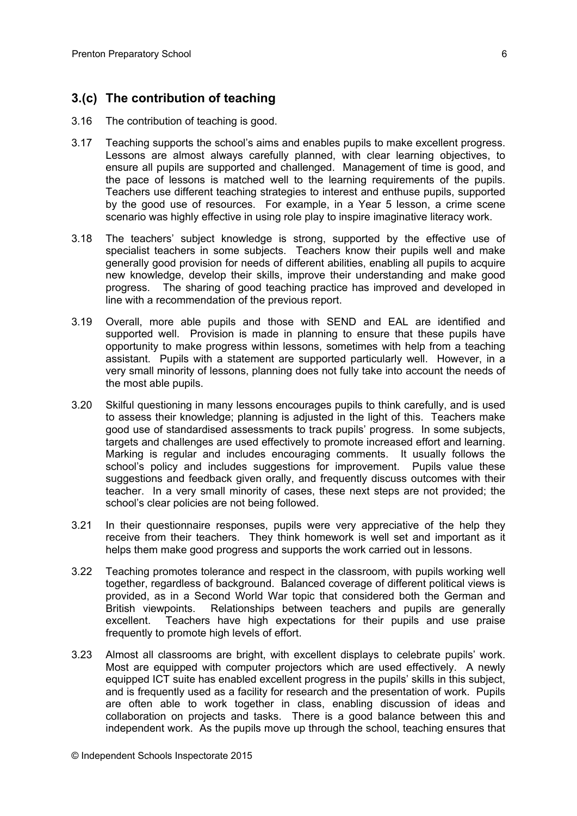### **3.(c) The contribution of teaching**

- 3.16 The contribution of teaching is good.
- 3.17 Teaching supports the school's aims and enables pupils to make excellent progress. Lessons are almost always carefully planned, with clear learning objectives, to ensure all pupils are supported and challenged. Management of time is good, and the pace of lessons is matched well to the learning requirements of the pupils. Teachers use different teaching strategies to interest and enthuse pupils, supported by the good use of resources. For example, in a Year 5 lesson, a crime scene scenario was highly effective in using role play to inspire imaginative literacy work.
- 3.18 The teachers' subject knowledge is strong, supported by the effective use of specialist teachers in some subjects. Teachers know their pupils well and make generally good provision for needs of different abilities, enabling all pupils to acquire new knowledge, develop their skills, improve their understanding and make good progress. The sharing of good teaching practice has improved and developed in line with a recommendation of the previous report.
- 3.19 Overall, more able pupils and those with SEND and EAL are identified and supported well. Provision is made in planning to ensure that these pupils have opportunity to make progress within lessons, sometimes with help from a teaching assistant. Pupils with a statement are supported particularly well. However, in a very small minority of lessons, planning does not fully take into account the needs of the most able pupils.
- 3.20 Skilful questioning in many lessons encourages pupils to think carefully, and is used to assess their knowledge; planning is adjusted in the light of this. Teachers make good use of standardised assessments to track pupils' progress. In some subjects, targets and challenges are used effectively to promote increased effort and learning. Marking is regular and includes encouraging comments. It usually follows the school's policy and includes suggestions for improvement. Pupils value these suggestions and feedback given orally, and frequently discuss outcomes with their teacher. In a very small minority of cases, these next steps are not provided; the school's clear policies are not being followed.
- 3.21 In their questionnaire responses, pupils were very appreciative of the help they receive from their teachers. They think homework is well set and important as it helps them make good progress and supports the work carried out in lessons.
- 3.22 Teaching promotes tolerance and respect in the classroom, with pupils working well together, regardless of background. Balanced coverage of different political views is provided, as in a Second World War topic that considered both the German and British viewpoints. Relationships between teachers and pupils are generally excellent. Teachers have high expectations for their pupils and use praise frequently to promote high levels of effort.
- 3.23 Almost all classrooms are bright, with excellent displays to celebrate pupils' work. Most are equipped with computer projectors which are used effectively. A newly equipped ICT suite has enabled excellent progress in the pupils' skills in this subject, and is frequently used as a facility for research and the presentation of work. Pupils are often able to work together in class, enabling discussion of ideas and collaboration on projects and tasks. There is a good balance between this and independent work. As the pupils move up through the school, teaching ensures that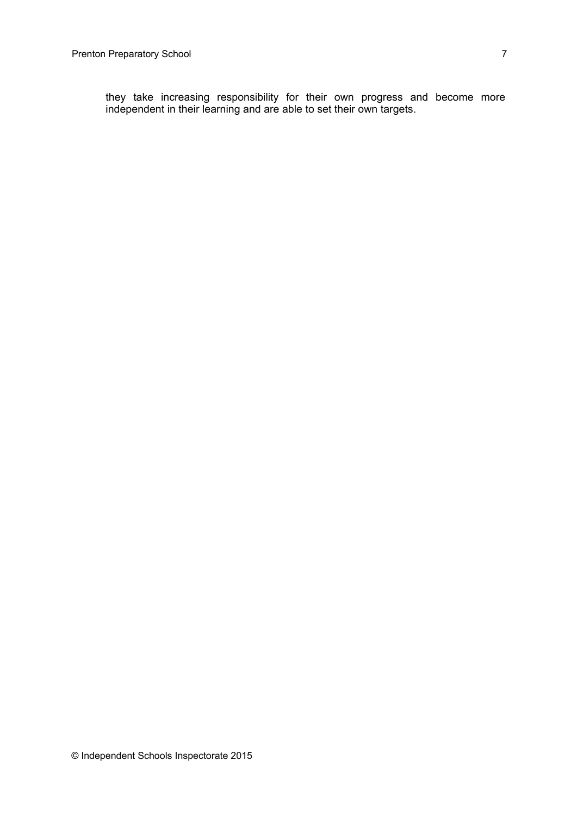they take increasing responsibility for their own progress and become more independent in their learning and are able to set their own targets.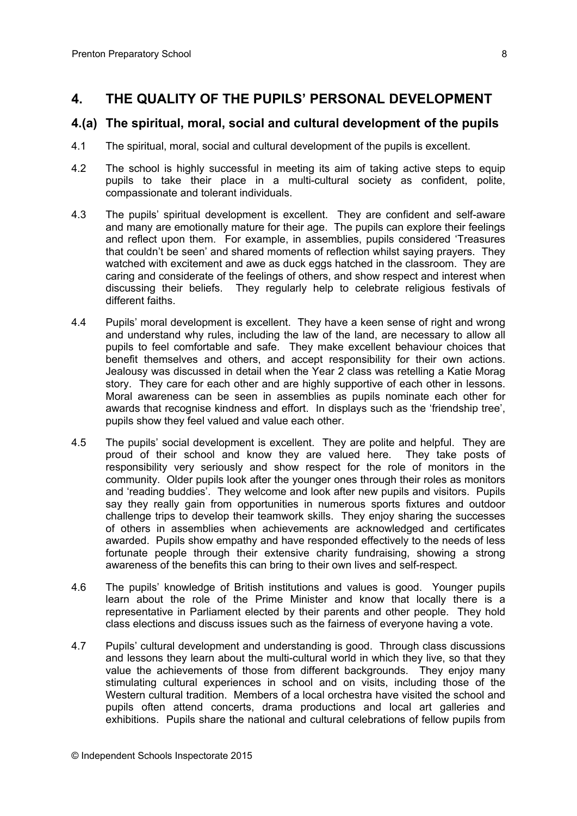## **4. THE QUALITY OF THE PUPILS' PERSONAL DEVELOPMENT**

#### **4.(a) The spiritual, moral, social and cultural development of the pupils**

- 4.1 The spiritual, moral, social and cultural development of the pupils is excellent.
- 4.2 The school is highly successful in meeting its aim of taking active steps to equip pupils to take their place in a multi-cultural society as confident, polite, compassionate and tolerant individuals.
- 4.3 The pupils' spiritual development is excellent. They are confident and self-aware and many are emotionally mature for their age. The pupils can explore their feelings and reflect upon them. For example, in assemblies, pupils considered 'Treasures that couldn't be seen' and shared moments of reflection whilst saying prayers. They watched with excitement and awe as duck eggs hatched in the classroom. They are caring and considerate of the feelings of others, and show respect and interest when discussing their beliefs. They regularly help to celebrate religious festivals of different faiths.
- 4.4 Pupils' moral development is excellent. They have a keen sense of right and wrong and understand why rules, including the law of the land, are necessary to allow all pupils to feel comfortable and safe. They make excellent behaviour choices that benefit themselves and others, and accept responsibility for their own actions. Jealousy was discussed in detail when the Year 2 class was retelling a Katie Morag story. They care for each other and are highly supportive of each other in lessons. Moral awareness can be seen in assemblies as pupils nominate each other for awards that recognise kindness and effort. In displays such as the 'friendship tree', pupils show they feel valued and value each other.
- 4.5 The pupils' social development is excellent. They are polite and helpful. They are proud of their school and know they are valued here. They take posts of responsibility very seriously and show respect for the role of monitors in the community. Older pupils look after the younger ones through their roles as monitors and 'reading buddies'. They welcome and look after new pupils and visitors. Pupils say they really gain from opportunities in numerous sports fixtures and outdoor challenge trips to develop their teamwork skills. They enjoy sharing the successes of others in assemblies when achievements are acknowledged and certificates awarded. Pupils show empathy and have responded effectively to the needs of less fortunate people through their extensive charity fundraising, showing a strong awareness of the benefits this can bring to their own lives and self-respect.
- 4.6 The pupils' knowledge of British institutions and values is good. Younger pupils learn about the role of the Prime Minister and know that locally there is a representative in Parliament elected by their parents and other people. They hold class elections and discuss issues such as the fairness of everyone having a vote.
- 4.7 Pupils' cultural development and understanding is good. Through class discussions and lessons they learn about the multi-cultural world in which they live, so that they value the achievements of those from different backgrounds. They enjoy many stimulating cultural experiences in school and on visits, including those of the Western cultural tradition. Members of a local orchestra have visited the school and pupils often attend concerts, drama productions and local art galleries and exhibitions. Pupils share the national and cultural celebrations of fellow pupils from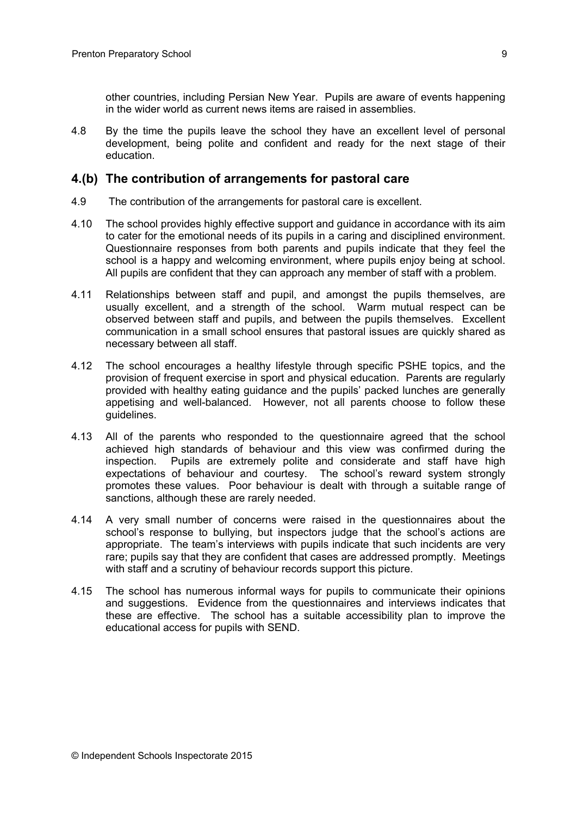other countries, including Persian New Year. Pupils are aware of events happening in the wider world as current news items are raised in assemblies.

4.8 By the time the pupils leave the school they have an excellent level of personal development, being polite and confident and ready for the next stage of their education.

#### **4.(b) The contribution of arrangements for pastoral care**

- 4.9 The contribution of the arrangements for pastoral care is excellent.
- 4.10 The school provides highly effective support and guidance in accordance with its aim to cater for the emotional needs of its pupils in a caring and disciplined environment. Questionnaire responses from both parents and pupils indicate that they feel the school is a happy and welcoming environment, where pupils enjoy being at school. All pupils are confident that they can approach any member of staff with a problem.
- 4.11 Relationships between staff and pupil, and amongst the pupils themselves, are usually excellent, and a strength of the school. Warm mutual respect can be observed between staff and pupils, and between the pupils themselves. Excellent communication in a small school ensures that pastoral issues are quickly shared as necessary between all staff.
- 4.12 The school encourages a healthy lifestyle through specific PSHE topics, and the provision of frequent exercise in sport and physical education. Parents are regularly provided with healthy eating guidance and the pupils' packed lunches are generally appetising and well-balanced. However, not all parents choose to follow these guidelines.
- 4.13 All of the parents who responded to the questionnaire agreed that the school achieved high standards of behaviour and this view was confirmed during the inspection. Pupils are extremely polite and considerate and staff have high expectations of behaviour and courtesy. The school's reward system strongly promotes these values. Poor behaviour is dealt with through a suitable range of sanctions, although these are rarely needed.
- 4.14 A very small number of concerns were raised in the questionnaires about the school's response to bullying, but inspectors judge that the school's actions are appropriate. The team's interviews with pupils indicate that such incidents are very rare; pupils say that they are confident that cases are addressed promptly. Meetings with staff and a scrutiny of behaviour records support this picture.
- 4.15 The school has numerous informal ways for pupils to communicate their opinions and suggestions. Evidence from the questionnaires and interviews indicates that these are effective. The school has a suitable accessibility plan to improve the educational access for pupils with SEND.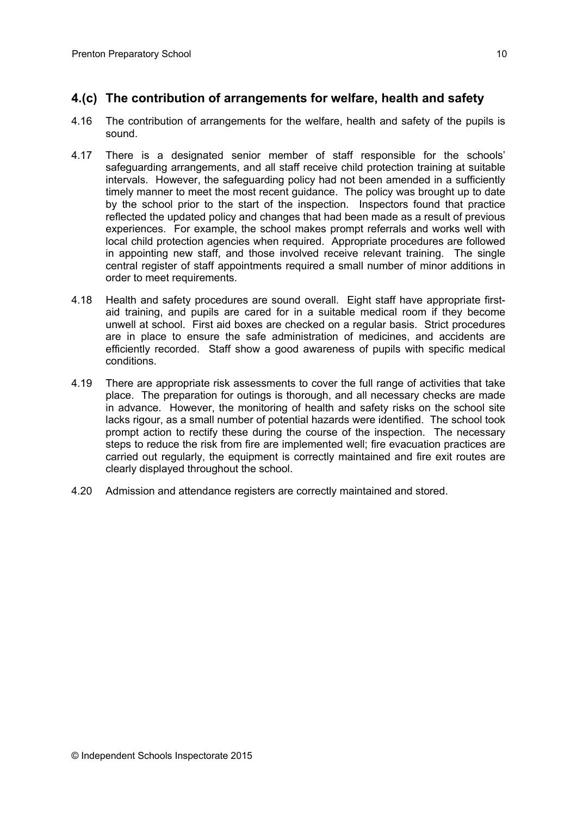# **4.(c) The contribution of arrangements for welfare, health and safety**

- 4.16 The contribution of arrangements for the welfare, health and safety of the pupils is sound.
- 4.17 There is a designated senior member of staff responsible for the schools' safeguarding arrangements, and all staff receive child protection training at suitable intervals. However, the safeguarding policy had not been amended in a sufficiently timely manner to meet the most recent guidance. The policy was brought up to date by the school prior to the start of the inspection. Inspectors found that practice reflected the updated policy and changes that had been made as a result of previous experiences. For example, the school makes prompt referrals and works well with local child protection agencies when required. Appropriate procedures are followed in appointing new staff, and those involved receive relevant training. The single central register of staff appointments required a small number of minor additions in order to meet requirements.
- 4.18 Health and safety procedures are sound overall. Eight staff have appropriate firstaid training, and pupils are cared for in a suitable medical room if they become unwell at school. First aid boxes are checked on a regular basis. Strict procedures are in place to ensure the safe administration of medicines, and accidents are efficiently recorded. Staff show a good awareness of pupils with specific medical conditions.
- 4.19 There are appropriate risk assessments to cover the full range of activities that take place. The preparation for outings is thorough, and all necessary checks are made in advance. However, the monitoring of health and safety risks on the school site lacks rigour, as a small number of potential hazards were identified. The school took prompt action to rectify these during the course of the inspection. The necessary steps to reduce the risk from fire are implemented well; fire evacuation practices are carried out regularly, the equipment is correctly maintained and fire exit routes are clearly displayed throughout the school.
- 4.20 Admission and attendance registers are correctly maintained and stored.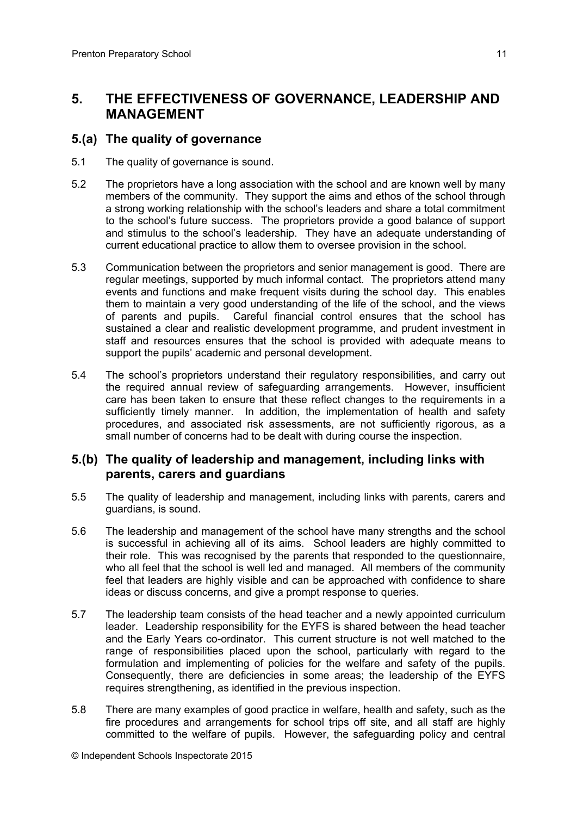# **5. THE EFFECTIVENESS OF GOVERNANCE, LEADERSHIP AND MANAGEMENT**

### **5.(a) The quality of governance**

- 5.1 The quality of governance is sound.
- 5.2 The proprietors have a long association with the school and are known well by many members of the community. They support the aims and ethos of the school through a strong working relationship with the school's leaders and share a total commitment to the school's future success. The proprietors provide a good balance of support and stimulus to the school's leadership. They have an adequate understanding of current educational practice to allow them to oversee provision in the school.
- 5.3 Communication between the proprietors and senior management is good. There are regular meetings, supported by much informal contact. The proprietors attend many events and functions and make frequent visits during the school day. This enables them to maintain a very good understanding of the life of the school, and the views of parents and pupils. Careful financial control ensures that the school has sustained a clear and realistic development programme, and prudent investment in staff and resources ensures that the school is provided with adequate means to support the pupils' academic and personal development.
- 5.4 The school's proprietors understand their regulatory responsibilities, and carry out the required annual review of safeguarding arrangements. However, insufficient care has been taken to ensure that these reflect changes to the requirements in a sufficiently timely manner. In addition, the implementation of health and safety procedures, and associated risk assessments, are not sufficiently rigorous, as a small number of concerns had to be dealt with during course the inspection.

#### **5.(b) The quality of leadership and management, including links with parents, carers and guardians**

- 5.5 The quality of leadership and management, including links with parents, carers and guardians, is sound.
- 5.6 The leadership and management of the school have many strengths and the school is successful in achieving all of its aims. School leaders are highly committed to their role. This was recognised by the parents that responded to the questionnaire, who all feel that the school is well led and managed. All members of the community feel that leaders are highly visible and can be approached with confidence to share ideas or discuss concerns, and give a prompt response to queries.
- 5.7 The leadership team consists of the head teacher and a newly appointed curriculum leader. Leadership responsibility for the EYFS is shared between the head teacher and the Early Years co-ordinator. This current structure is not well matched to the range of responsibilities placed upon the school, particularly with regard to the formulation and implementing of policies for the welfare and safety of the pupils. Consequently, there are deficiencies in some areas; the leadership of the EYFS requires strengthening, as identified in the previous inspection.
- 5.8 There are many examples of good practice in welfare, health and safety, such as the fire procedures and arrangements for school trips off site, and all staff are highly committed to the welfare of pupils. However, the safeguarding policy and central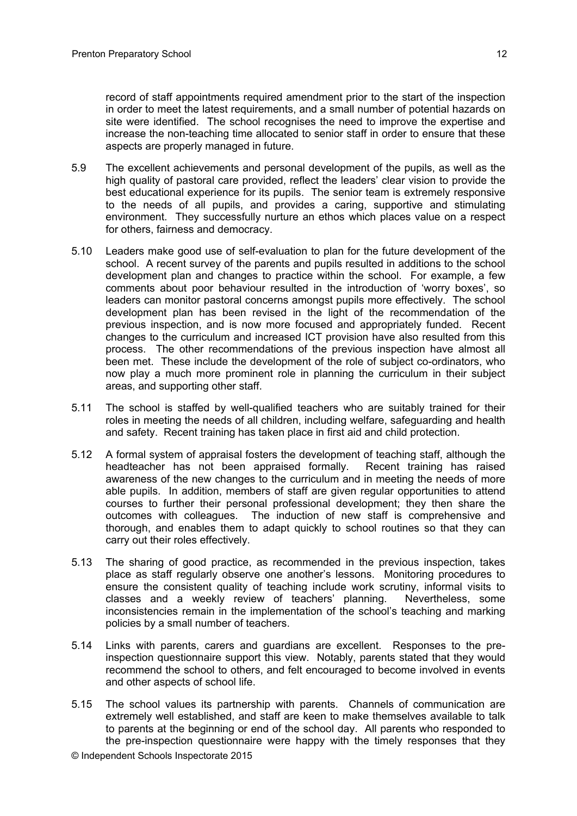in order to meet the latest requirements, and a small number of potential hazards on site were identified. The school recognises the need to improve the expertise and increase the non-teaching time allocated to senior staff in order to ensure that these aspects are properly managed in future.

- 5.9 The excellent achievements and personal development of the pupils, as well as the high quality of pastoral care provided, reflect the leaders' clear vision to provide the best educational experience for its pupils. The senior team is extremely responsive to the needs of all pupils, and provides a caring, supportive and stimulating environment. They successfully nurture an ethos which places value on a respect for others, fairness and democracy.
- 5.10 Leaders make good use of self-evaluation to plan for the future development of the school. A recent survey of the parents and pupils resulted in additions to the school development plan and changes to practice within the school. For example, a few comments about poor behaviour resulted in the introduction of 'worry boxes', so leaders can monitor pastoral concerns amongst pupils more effectively. The school development plan has been revised in the light of the recommendation of the previous inspection, and is now more focused and appropriately funded. Recent changes to the curriculum and increased ICT provision have also resulted from this process. The other recommendations of the previous inspection have almost all been met. These include the development of the role of subject co-ordinators, who now play a much more prominent role in planning the curriculum in their subject areas, and supporting other staff.
- 5.11 The school is staffed by well-qualified teachers who are suitably trained for their roles in meeting the needs of all children, including welfare, safeguarding and health and safety. Recent training has taken place in first aid and child protection.
- 5.12 A formal system of appraisal fosters the development of teaching staff, although the headteacher has not been appraised formally. Recent training has raised awareness of the new changes to the curriculum and in meeting the needs of more able pupils. In addition, members of staff are given regular opportunities to attend courses to further their personal professional development; they then share the outcomes with colleagues. The induction of new staff is comprehensive and thorough, and enables them to adapt quickly to school routines so that they can carry out their roles effectively.
- 5.13 The sharing of good practice, as recommended in the previous inspection, takes place as staff regularly observe one another's lessons. Monitoring procedures to ensure the consistent quality of teaching include work scrutiny, informal visits to classes and a weekly review of teachers' planning. Nevertheless, some inconsistencies remain in the implementation of the school's teaching and marking policies by a small number of teachers.
- 5.14 Links with parents, carers and guardians are excellent. Responses to the preinspection questionnaire support this view. Notably, parents stated that they would recommend the school to others, and felt encouraged to become involved in events and other aspects of school life.
- 5.15 The school values its partnership with parents. Channels of communication are extremely well established, and staff are keen to make themselves available to talk to parents at the beginning or end of the school day. All parents who responded to the pre-inspection questionnaire were happy with the timely responses that they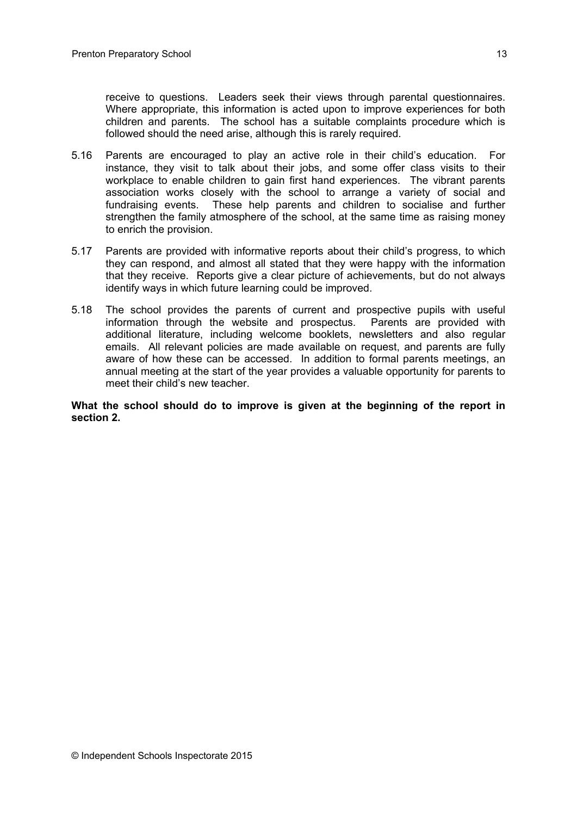receive to questions. Leaders seek their views through parental questionnaires. Where appropriate, this information is acted upon to improve experiences for both children and parents. The school has a suitable complaints procedure which is followed should the need arise, although this is rarely required.

- 5.16 Parents are encouraged to play an active role in their child's education. For instance, they visit to talk about their jobs, and some offer class visits to their workplace to enable children to gain first hand experiences. The vibrant parents association works closely with the school to arrange a variety of social and fundraising events. These help parents and children to socialise and further strengthen the family atmosphere of the school, at the same time as raising money to enrich the provision.
- 5.17 Parents are provided with informative reports about their child's progress, to which they can respond, and almost all stated that they were happy with the information that they receive. Reports give a clear picture of achievements, but do not always identify ways in which future learning could be improved.
- 5.18 The school provides the parents of current and prospective pupils with useful information through the website and prospectus. Parents are provided with additional literature, including welcome booklets, newsletters and also regular emails. All relevant policies are made available on request, and parents are fully aware of how these can be accessed. In addition to formal parents meetings, an annual meeting at the start of the year provides a valuable opportunity for parents to meet their child's new teacher.

**What the school should do to improve is given at the beginning of the report in section 2.**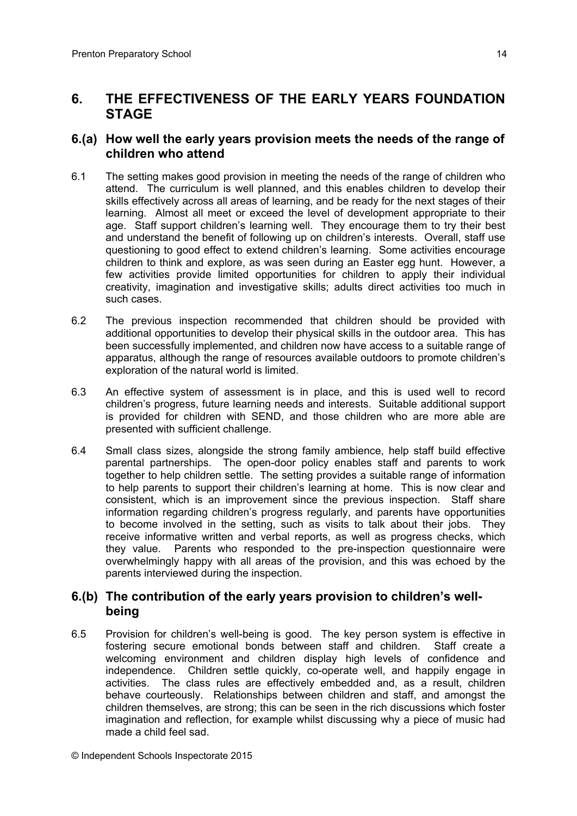# **6. THE EFFECTIVENESS OF THE EARLY YEARS FOUNDATION STAGE**

#### **6.(a) How well the early years provision meets the needs of the range of children who attend**

- 6.1 The setting makes good provision in meeting the needs of the range of children who attend. The curriculum is well planned, and this enables children to develop their skills effectively across all areas of learning, and be ready for the next stages of their learning. Almost all meet or exceed the level of development appropriate to their age. Staff support children's learning well. They encourage them to try their best and understand the benefit of following up on children's interests. Overall, staff use questioning to good effect to extend children's learning. Some activities encourage children to think and explore, as was seen during an Easter egg hunt. However, a few activities provide limited opportunities for children to apply their individual creativity, imagination and investigative skills; adults direct activities too much in such cases.
- 6.2 The previous inspection recommended that children should be provided with additional opportunities to develop their physical skills in the outdoor area. This has been successfully implemented, and children now have access to a suitable range of apparatus, although the range of resources available outdoors to promote children's exploration of the natural world is limited.
- 6.3 An effective system of assessment is in place, and this is used well to record children's progress, future learning needs and interests. Suitable additional support is provided for children with SEND, and those children who are more able are presented with sufficient challenge.
- 6.4 Small class sizes, alongside the strong family ambience, help staff build effective parental partnerships. The open-door policy enables staff and parents to work together to help children settle. The setting provides a suitable range of information to help parents to support their children's learning at home. This is now clear and consistent, which is an improvement since the previous inspection. Staff share information regarding children's progress regularly, and parents have opportunities to become involved in the setting, such as visits to talk about their jobs. They receive informative written and verbal reports, as well as progress checks, which they value. Parents who responded to the pre-inspection questionnaire were overwhelmingly happy with all areas of the provision, and this was echoed by the parents interviewed during the inspection.

#### **6.(b) The contribution of the early years provision to children's wellbeing**

6.5 Provision for children's well-being is good. The key person system is effective in fostering secure emotional bonds between staff and children. Staff create a welcoming environment and children display high levels of confidence and independence. Children settle quickly, co-operate well, and happily engage in activities. The class rules are effectively embedded and, as a result, children behave courteously. Relationships between children and staff, and amongst the children themselves, are strong; this can be seen in the rich discussions which foster imagination and reflection, for example whilst discussing why a piece of music had made a child feel sad.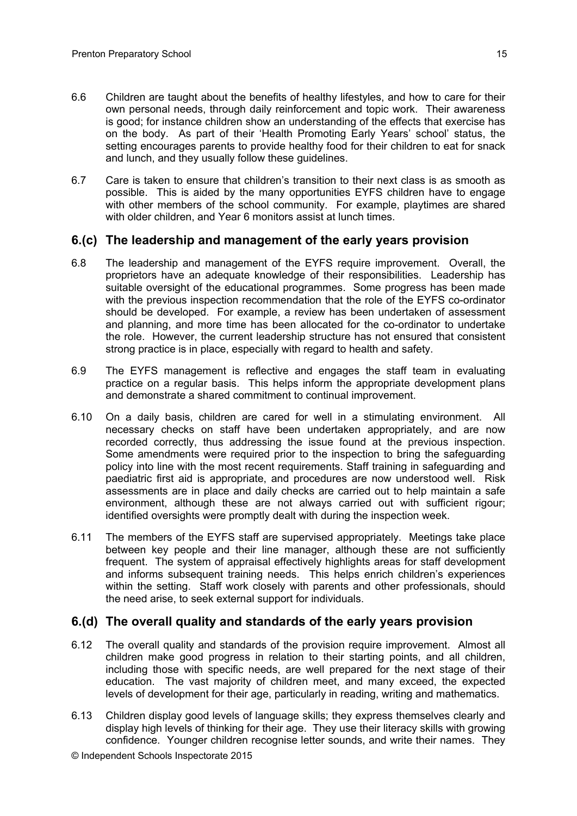- 6.6 Children are taught about the benefits of healthy lifestyles, and how to care for their own personal needs, through daily reinforcement and topic work. Their awareness is good; for instance children show an understanding of the effects that exercise has on the body. As part of their 'Health Promoting Early Years' school' status, the setting encourages parents to provide healthy food for their children to eat for snack and lunch, and they usually follow these guidelines.
- 6.7 Care is taken to ensure that children's transition to their next class is as smooth as possible. This is aided by the many opportunities EYFS children have to engage with other members of the school community. For example, playtimes are shared with older children, and Year 6 monitors assist at lunch times.

#### **6.(c) The leadership and management of the early years provision**

- 6.8 The leadership and management of the EYFS require improvement. Overall, the proprietors have an adequate knowledge of their responsibilities. Leadership has suitable oversight of the educational programmes. Some progress has been made with the previous inspection recommendation that the role of the EYFS co-ordinator should be developed. For example, a review has been undertaken of assessment and planning, and more time has been allocated for the co-ordinator to undertake the role. However, the current leadership structure has not ensured that consistent strong practice is in place, especially with regard to health and safety.
- 6.9 The EYFS management is reflective and engages the staff team in evaluating practice on a regular basis. This helps inform the appropriate development plans and demonstrate a shared commitment to continual improvement.
- 6.10 On a daily basis, children are cared for well in a stimulating environment. All necessary checks on staff have been undertaken appropriately, and are now recorded correctly, thus addressing the issue found at the previous inspection. Some amendments were required prior to the inspection to bring the safeguarding policy into line with the most recent requirements. Staff training in safeguarding and paediatric first aid is appropriate, and procedures are now understood well. Risk assessments are in place and daily checks are carried out to help maintain a safe environment, although these are not always carried out with sufficient rigour; identified oversights were promptly dealt with during the inspection week.
- 6.11 The members of the EYFS staff are supervised appropriately. Meetings take place between key people and their line manager, although these are not sufficiently frequent. The system of appraisal effectively highlights areas for staff development and informs subsequent training needs. This helps enrich children's experiences within the setting. Staff work closely with parents and other professionals, should the need arise, to seek external support for individuals.

#### **6.(d) The overall quality and standards of the early years provision**

- 6.12 The overall quality and standards of the provision require improvement. Almost all children make good progress in relation to their starting points, and all children, including those with specific needs, are well prepared for the next stage of their education. The vast majority of children meet, and many exceed, the expected levels of development for their age, particularly in reading, writing and mathematics.
- 6.13 Children display good levels of language skills; they express themselves clearly and display high levels of thinking for their age. They use their literacy skills with growing confidence. Younger children recognise letter sounds, and write their names. They